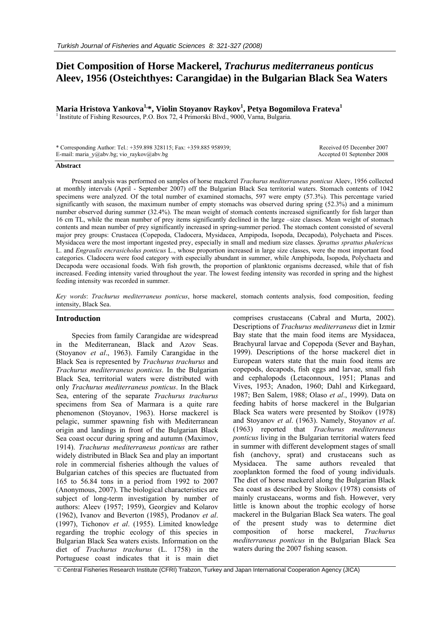# **Diet Composition of Horse Mackerel,** *Trachurus mediterraneus ponticus* **Aleev, 1956 (Osteichthyes: Carangidae) in the Bulgarian Black Sea Waters**

**Maria Hristova Yankova1,\*, Violin Stoyanov Raykov1 , Petya Bogomilova Frateva1**

<sup>1</sup> Institute of Fishing Resources, P.O. Box 72, 4 Primorski Blvd., 9000, Varna, Bulgaria.

| * Corresponding Author: Tel.: +359.898 328115; Fax: +359.885 958939; | Received 05 December 2007  |
|----------------------------------------------------------------------|----------------------------|
| E-mail: maria $y$ @abv.bg; vio raykov@abv.bg                         | Accepted 01 September 2008 |

#### **Abstract**

Present analysis was performed on samples of horse mackerel *Trachurus mediterraneus ponticus* Aleev, 1956 collected at monthly intervals (April - September 2007) off the Bulgarian Black Sea territorial waters. Stomach contents of 1042 specimens were analyzed. Of the total number of examined stomachs, 597 were empty (57.3%). This percentage varied significantly with season, the maximum number of empty stomachs was observed during spring (52.3%) and a minimum number observed during summer (32.4%). The mean weight of stomach contents increased significantly for fish larger than 16 cm TL, while the mean number of prey items significantly declined in the large –size classes. Mean weight of stomach contents and mean number of prey significantly increased in spring-summer period. The stomach content consisted of several major prey groups: Crustacea (Copepoda, Cladocera, Mysidacea, Ampipoda, Isopoda, Decapoda), Polychaeta and Pisces. Mysidacea were the most important ingested prey, especially in small and medium size classes. *Sprattus sprattus phalericus* L. and *Engraulis encrasicholus ponticus* L., whose proportion increased in large size classes, were the most important food categories. Cladocera were food category with especially abundant in summer, while Amphipoda, Isopoda, Polychaeta and Decapoda were occasional foods. With fish growth, the proportion of planktonic organisms decreased, while that of fish increased. Feeding intensity varied throughout the year. The lowest feeding intensity was recorded in spring and the highest feeding intensity was recorded in summer.

*Key words*: *Trachurus mediterraneus ponticus*, horse mackerel, stomach contents analysis, food composition, feeding intensity, Black Sea.

#### **Introduction**

Species from family Carangidae are widespread in the Mediterranean, Black and Azov Seas. (Stoyanov *et al*., 1963). Family Carangidae in the Black Sea is represented by *Trachurus trachurus* and *Trachurus mediterraneus ponticus*. In the Bulgarian Black Sea, territorial waters were distributed with only *Trachurus mediterraneus ponticus*. In the Black Sea, entering of the separate *Trachurus trachurus* specimens from Sea of Marmara is a quite rare phenomenon (Stoyanov, 1963). Horse mackerel is pelagic, summer spawning fish with Mediterranean origin and landings in front of the Bulgarian Black Sea coast occur during spring and autumn (Maximov, 1914). *Trachurus mediterraneus ponticus* are rather widely distributed in Black Sea and play an important role in commercial fisheries although the values of Bulgarian catches of this species are fluctuated from 165 to 56.84 tons in a period from 1992 to 2007 (Anonymous, 2007). The biological characteristics are subject of long-term investigation by number of authors: Aleev (1957; 1959), Georgiev and Kolarov (1962), Ivanov and Beverton (1985), Prodanov *et al*. (1997), Tichonov *et al*. (1955). Limited knowledge regarding the trophic ecology of this species in Bulgarian Black Sea waters exists. Information on the diet of *Trachurus trachurus* (L. 1758) in the Portuguese coast indicates that it is main diet

comprises crustaceans (Cabral and Murta, 2002). Descriptions of *Trachurus mediterraneus* diet in Izmir Bay state that the main food items are Mysidacea, Brachyural larvae and Copepoda (Sever and Bayhan, 1999). Descriptions of the horse mackerel diet in European waters state that the main food items are copepods, decapods, fish eggs and larvae, small fish and cephalopods (Letaconnoux, 1951; Planas and Vives, 1953; Anadon, 1960; Dahl and Kirkegaard, 1987; Ben Salem, 1988; Olaso *et al*., 1999). Data on feeding habits of horse mackerel in the Bulgarian Black Sea waters were presented by Stoikov (1978) and Stoyanov *et al*. (1963). Namely, Stoyanov *et al*. (1963) reported that *Trachurus mediterraneus ponticus* living in the Bulgarian territorial waters feed in summer with different development stages of small fish (anchovy, sprat) and crustaceans such as Mysidacea. The same authors revealed that zooplankton formed the food of young individuals. The diet of horse mackerel along the Bulgarian Black Sea coast as described by Stoikov (1978) consists of mainly crustaceans, worms and fish. However, very little is known about the trophic ecology of horse mackerel in the Bulgarian Black Sea waters. The goal of the present study was to determine diet composition of horse mackerel, *Trachurus mediterraneus ponticus* in the Bulgarian Black Sea waters during the 2007 fishing season.

© Central Fisheries Research Institute (CFRI) Trabzon, Turkey and Japan International Cooperation Agency (JICA)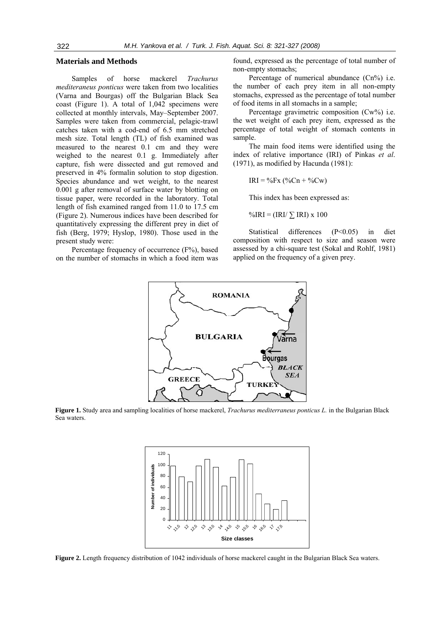## **Materials and Methods**

Samples of horse mackerel *Trachurus mediteraneus ponticus* were taken from two localities (Varna and Bourgas) off the Bulgarian Black Sea coast (Figure 1). A total of 1,042 specimens were collected at monthly intervals, May–September 2007. Samples were taken from commercial, pelagic-trawl catches taken with a cod-end of 6.5 mm stretched mesh size. Total length (TL) of fish examined was measured to the nearest 0.1 cm and they were weighed to the nearest 0.1 g. Immediately after capture, fish were dissected and gut removed and preserved in 4% formalin solution to stop digestion. Species abundance and wet weight, to the nearest 0.001 g after removal of surface water by blotting on tissue paper, were recorded in the laboratory. Total length of fish examined ranged from 11.0 to 17.5 cm (Figure 2). Numerous indices have been described for quantitatively expressing the different prey in diet of fish (Berg, 1979; Hyslop, 1980). Those used in the present study were:

Percentage frequency of occurrence (F%), based on the number of stomachs in which a food item was found, expressed as the percentage of total number of non-empty stomachs;

Percentage of numerical abundance (Cn%) i.e. the number of each prey item in all non-empty stomachs, expressed as the percentage of total number of food items in all stomachs in a sample;

Percentage gravimetric composition (Cw%) i.e. the wet weight of each prey item, expressed as the percentage of total weight of stomach contents in sample.

The main food items were identified using the index of relative importance (IRI) of Pinkas *et al*. (1971), as modified by Hacunda (1981):

 $IRI = \%Fx(%Cn + %Cw)$ 

This index has been expressed as:

 $\%$ IRI = (IRI/ $\sum$ IRI) x 100

Statistical differences (P<0.05) in diet composition with respect to size and season were assessed by a chi-square test (Sokal and Rohlf, 1981) applied on the frequency of a given prey.



**Figure 1.** Study area and sampling localities of horse mackerel, *Trachurus mediterraneus ponticus L.* in the Bulgarian Black Sea waters.



**Figure 2.** Length frequency distribution of 1042 individuals of horse mackerel caught in the Bulgarian Black Sea waters.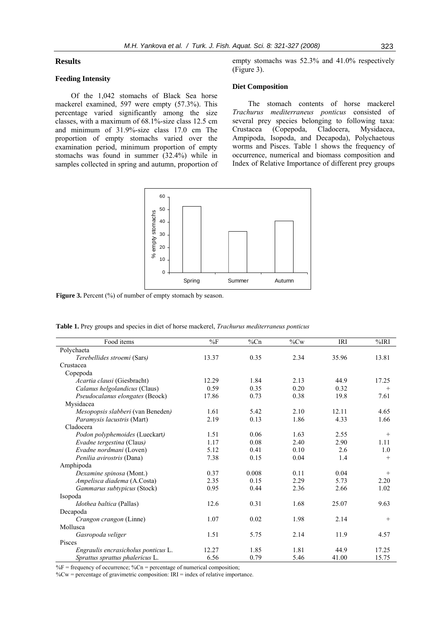## **Results**

## **Feeding Intensity**

Of the 1,042 stomachs of Black Sea horse mackerel examined, 597 were empty (57.3%). This percentage varied significantly among the size classes, with a maximum of 68.1%-size class 12.5 cm and minimum of 31.9%-size class 17.0 cm The proportion of empty stomachs varied over the examination period, minimum proportion of empty stomachs was found in summer (32.4%) while in samples collected in spring and autumn, proportion of empty stomachs was 52.3% and 41.0% respectively (Figure 3).

## **Diet Composition**

The stomach contents of horse mackerel *Trachurus mediterraneus ponticus* consisted of several prey species belonging to following taxa: Crustacea (Copepoda, Cladocera, Mysidacea, Ampipoda, Isopoda, and Decapoda), Polychaetous worms and Pisces. Table 1 shows the frequency of occurrence, numerical and biomass composition and Index of Relative Importance of different prey groups



Figure 3. Percent (%) of number of empty stomach by season.

|  | <b>Table 1.</b> Prey groups and species in diet of horse mackerel, <i>Trachurus mediterraneus ponticus</i> |
|--|------------------------------------------------------------------------------------------------------------|
|  |                                                                                                            |

| Food items                          | $\%F$ | $\%$ Cn | $\%$ Cw | <b>IRI</b> | %IRI   |
|-------------------------------------|-------|---------|---------|------------|--------|
| Polychaeta                          |       |         |         |            |        |
| Terebellides stroemi (Sars)         | 13.37 | 0.35    | 2.34    | 35.96      | 13.81  |
| Crustacea                           |       |         |         |            |        |
| Copepoda                            |       |         |         |            |        |
| Acartia clausi (Giesbracht)         | 12.29 | 1.84    | 2.13    | 44.9       | 17.25  |
| Calanus helgolandicus (Claus)       | 0.59  | 0.35    | 0.20    | 0.32       | $^{+}$ |
| Pseudocalanus elongates (Beock)     | 17.86 | 0.73    | 0.38    | 19.8       | 7.61   |
| Mysidacea                           |       |         |         |            |        |
| Mesopopsis slabberi (van Beneden)   | 1.61  | 5.42    | 2.10    | 12.11      | 4.65   |
| Paramysis lacustris (Mart)          | 2.19  | 0.13    | 1.86    | 4.33       | 1.66   |
| Cladocera                           |       |         |         |            |        |
| Podon polyphemoides (Lueckart)      | 1.51  | 0.06    | 1.63    | 2.55       | $^{+}$ |
| Evadne tergestina (Claus)           | 1.17  | 0.08    | 2.40    | 2.90       | 1.11   |
| Evadne nordmani (Loven)             | 5.12  | 0.41    | 0.10    | 2.6        | 1.0    |
| Penilia avirostris (Dana)           | 7.38  | 0.15    | 0.04    | 1.4        | $+$    |
| Amphipoda                           |       |         |         |            |        |
| Dexamine spinosa (Mont.)            | 0.37  | 0.008   | 0.11    | 0.04       | $^{+}$ |
| Ampelisca diadema (A.Costa)         | 2.35  | 0.15    | 2.29    | 5.73       | 2.20   |
| Gammarus subtypicus (Stock)         | 0.95  | 0.44    | 2.36    | 2.66       | 1.02   |
| Isopoda                             |       |         |         |            |        |
| <i>Idothea baltica</i> (Pallas)     | 12.6  | 0.31    | 1.68    | 25.07      | 9.63   |
| Decapoda                            |       |         |         |            |        |
| Crangon crangon (Linne)             | 1.07  | 0.02    | 1.98    | 2.14       | $+$    |
| Mollusca                            |       |         |         |            |        |
| Gasropoda veliger                   | 1.51  | 5.75    | 2.14    | 11.9       | 4.57   |
| Pisces                              |       |         |         |            |        |
| Engraulis encrasicholus ponticus L. | 12.27 | 1.85    | 1.81    | 44.9       | 17.25  |
| Sprattus sprattus phalericus L.     | 6.56  | 0.79    | 5.46    | 41.00      | 15.75  |

 $\%F$  = frequency of occurrence;  $\%Cn$  = percentage of numerical composition;

 $\%$ Cw = percentage of gravimetric composition: IRI = index of relative importance.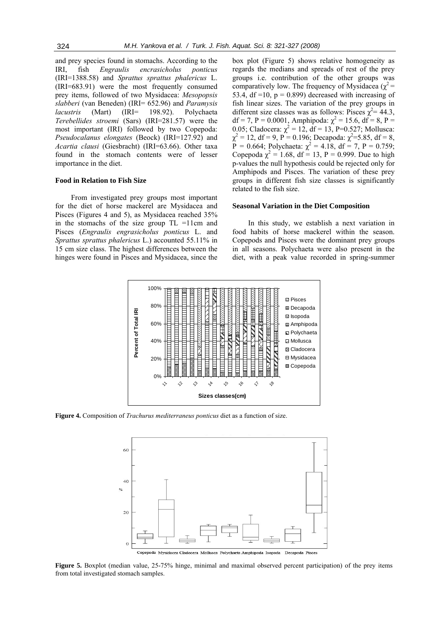and prey species found in stomachs. According to the IRI, fish *Engraulis encrasicholus ponticus* (IRI=1388.58) and *Sprattus sprattus phalericus* L. (IRI=683.91) were the most frequently consumed prey items, followed of two Mysidacea: *Mesopopsis slabberi* (van Beneden) (IRI= 652.96) and *Paramysis lacustris* (Mart) (IRI= 198.92). Polychaeta *Terebellides stroemi* (Sars) (IRI=281.57) were the most important (IRI) followed by two Copepoda: *Pseudocalanus elongates* (Beock) (IRI=127.92) and *Acartia clausi* (Giesbracht) (IRI=63.66). Other taxa found in the stomach contents were of lesser importance in the diet.

#### **Food in Relation to Fish Size**

From investigated prey groups most important for the diet of horse mackerel are Mysidacea and Pisces (Figures 4 and 5), as Mysidacea reached 35% in the stomachs of the size group TL =11cm and Pisces (*Engraulis engrasicholus ponticus* L. and *Sprattus sprattus phalericus* L.) accounted 55.11% in 15 cm size class. The highest differences between the hinges were found in Pisces and Mysidacea, since the

box plot (Figure 5) shows relative homogeneity as regards the medians and spreads of rest of the prey groups i.e. contribution of the other groups was comparatively low. The frequency of Mysidacea ( $\chi^2$  = 53.4, df =10,  $p = 0.899$ ) decreased with increasing of fish linear sizes. The variation of the prey groups in different size classes was as follows: Pisces  $\chi^2$  = 44.3, df = 7, P = 0.0001, Amphipoda:  $\chi^2$  = 15.6, df = 8, P = 0.05; Cladocera:  $\chi^2 = 12$ , df = 13, P=0.527; Mollusca:  $\chi^2 = 12$ , df = 9, P = 0.196; Decapoda:  $\chi^2 = 5.85$ , df = 8,  $\hat{P} = 0.664$ ; Polychaeta:  $\chi^2 = 4.18$ , df = 7, P = 0.759; Copepoda  $\chi^2 = 1.68$ , df = 13, P = 0.999. Due to high p-values the null hypothesis could be rejected only for Amphipods and Pisces. The variation of these prey groups in different fish size classes is significantly related to the fish size.

#### **Seasonal Variation in the Diet Composition**

In this study, we establish a next variation in food habits of horse mackerel within the season. Copepods and Pisces were the dominant prey groups in all seasons. Polychaeta were also present in the diet, with a peak value recorded in spring-summer



**Figure 4.** Composition of *Trachurus mediterraneus ponticus* diet as a function of size.



**Figure 5.** Boxplot (median value, 25-75% hinge, minimal and maximal observed percent participation) of the prey items from total investigated stomach samples.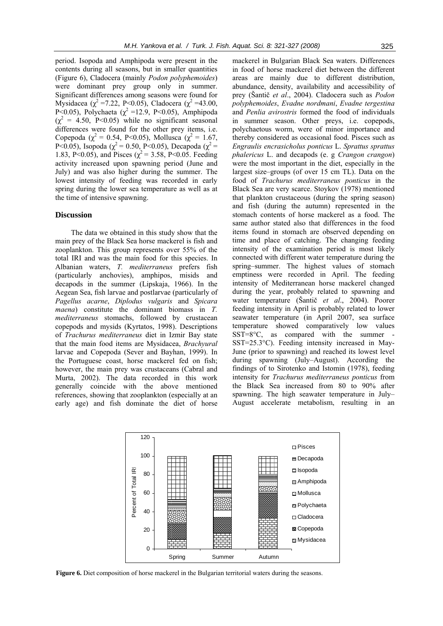period. Isopoda and Amphipoda were present in the contents during all seasons, but in smaller quantities (Figure 6), Cladocera (mainly *Podon polyphemoides*) were dominant prey group only in summer. Significant differences among seasons were found for Mysidacea (χ<sup>2</sup> = 7.22, P < 0.05), Cladocera (χ<sup>2</sup> = 43.00, P<0.05), Polychaeta ( $\chi^2$  =12.9, P<0.05), Amphipoda  $(\chi^2 = 4.50, \text{ P} < 0.05)$  while no significant seasonal differences were found for the other prey items, i.e. Copepoda ( $\chi^2$  = 0.54, P<0.05), Mollusca ( $\chi^2$  = 1.67, P<0.05), Isopoda ( $\chi^2$  = 0.50, P<0.05), Decapoda ( $\chi^2$  = 1.83, P<0.05), and Pisces ( $\chi^2$  = 3.58, P<0.05. Feeding activity increased upon spawning period (June and July) and was also higher during the summer. The lowest intensity of feeding was recorded in early spring during the lower sea temperature as well as at the time of intensive spawning.

#### **Discussion**

The data we obtained in this study show that the main prey of the Black Sea horse mackerel is fish and zooplankton. This group represents over 55% of the total IRI and was the main food for this species. In Albanian waters, *T. mediterraneus* prefers fish (particularly anchovies), amphipos, misids and decapods in the summer (Lipskaja, 1966). In the Aegean Sea, fish larvae and postlarvae (particularly of *Pagellus acarne*, *Diplodus vulgaris* and *Spicara maena*) constitute the dominant biomass in *T. mediterraneus* stomachs, followed by crustacean copepods and mysids (Kyrtatos, 1998). Descriptions of *Trachurus mediterraneus* diet in Izmir Bay state that the main food items are Mysidacea, *Brachyural* larvae and Copepoda (Sever and Bayhan, 1999). In the Portuguese coast, horse mackerel fed on fish; however, the main prey was crustaceans (Cabral and Murta, 2002). The data recorded in this work generally coincide with the above mentioned references, showing that zooplankton (especially at an early age) and fish dominate the diet of horse

mackerel in Bulgarian Black Sea waters. Differences in food of horse mackerel diet between the different areas are mainly due to different distribution, abundance, density, availability and accessibility of prey (Šantič *et al*., 2004). Cladocera such as *Podon polyphemoides*, *Evadne nordmani*, *Evadne tergestina* and *Penlia avirostris* formed the food of individuals in summer season. Other preys, i.e. copepods, polychaetous worm, were of minor importance and thereby considered as occasional food. Pisces such as *Engraulis encrasicholus ponticus* L. *Sprattus sprattus phalericus* L. and decapods (e. g *Crangon crangon*) were the most important in the diet, especially in the largest size–groups (of over 15 cm TL). Data on the food of *Trachurus mediterraneus ponticus* in the Black Sea are very scarce. Stoykov (1978) mentioned that plankton crustaceous (during the spring season) and fish (during the autumn) represented in the stomach contents of horse mackerel as a food. The same author stated also that differences in the food items found in stomach are observed depending on time and place of catching. The changing feeding intensity of the examination period is most likely connected with different water temperature during the spring–summer. The highest values of stomach emptiness were recorded in April. The feeding intensity of Mediterranean horse mackerel changed during the year, probably related to spawning and water temperature (Šantič *et al*., 2004). Poorer feeding intensity in April is probably related to lower seawater temperature (in April 2007, sea surface temperature showed comparatively low values  $SST=8\degree C$ , as compared with the summer SST=25.3°C). Feeding intensity increased in May-June (prior to spawning) and reached its lowest level during spawning (July–August). According the findings of to Sirotenko and Istomin (1978), feeding intensity for *Trachurus mediterraneus ponticus* from the Black Sea increased from 80 to 90% after spawning. The high seawater temperature in July– August accelerate metabolism, resulting in an



**Figure 6.** Diet composition of horse mackerel in the Bulgarian territorial waters during the seasons.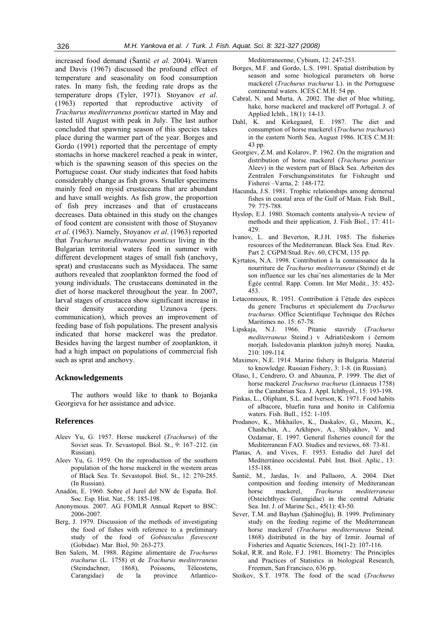increased food demand (Šantič *et al*. 2004). Warren and Davis (1967) discussed the profound effect of temperature and seasonality on food consumption rates. In many fish, the feeding rate drops as the temperature drops (Tyler, 1971). Stoyanov *et al*. (1963) reported that reproductive activity of *Trachurus mediterraneus ponticus* started in May and lasted till August with peak in July. The last author concluded that spawning season of this species takes place during the warmer part of the year. Borges and Gordo (1991) reported that the percentage of empty stomachs in horse mackerel reached a peak in winter, which is the spawning season of this species on the Portuguese coast. Our study indicates that food habits considerably change as fish grows. Smaller specimens mainly feed on mysid crustaceans that are abundant and have small weights. As fish grow, the proportion of fish prey increases and that of crustaceans decreases. Data obtained in this study on the changes of food content are consistent with those of Stoyanov *et al*. (1963). Namely, Stoyanov *et al*. (1963) reported that *Trachurus mediterraneus ponticus* living in the Bulgarian territorial waters feed in summer with different development stages of small fish (anchovy, sprat) and crustaceans such as Mysidacea. The same authors revealed that zooplankton formed the food of young individuals. The crustaceans dominated in the diet of horse mackerel throughout the year. In 2007, larval stages of crustacea show significant increase in their density according Uzunova (pers. communication), which proves an improvement of feeding base of fish populations. The present analysis indicated that horse mackerel was the predator. Besides having the largest number of zooplankton, it had a high impact on populations of commercial fish such as sprat and anchovy.

## **Acknowledgements**

The authors would like to thank to Bojanka Georgieva for her assistance and advice.

#### **References**

- Aleev Yu, G. 1957. Horse mackerel (*Trachurus*) of the Soviet seas. Tr. Sevastopol. Biol. St., 9: 167–212. (in Russian).
- Aleev Yu, G. 1959. On the reproduction of the southern population of the horse mackerel in the western areas of Black Sea. Tr. Sevastopol. Biol. St., 12: 270-285. (In Russian).
- Anadôn, E. 1960. Sobre el Jurel del NW de España. Bol. Soc. Esp. Hist. Nat., 58: 185-198.
- Anonymous. 2007. AG FOMLR Annual Report to BSC: 2006-2007.
- Berg, J. 1979. Discussion of the methods of investigating the food of fishes with reference to a preliminary study of the food of *Gobiusculus flavescent* (Gobidae). Mar. Biol, 50: 263-273.
- Ben Salem, M. 1988. Régime alimentaire de *Trachurus trachurus* (L. 1758) et de *Trachurus mediterraneus* (Steindachner, 1868), Poissons, Téleostens, Carangidae) de la province Atlantico-

Mediterraneenne, Cybium, 12: 247-253.

- Borges, M.F. and Gordo, L.S. 1991. Spatial distribution by season and some biological parameters oh horse mackerel (*Trachurus trachurus* L). in the Portuguese continental waters. ICES C.M.H: 54 pp.
- Cabral, N. and Murta, A. 2002. The diet of blue whiting, hake, horse mackerel and mackerel off Portugal. J. of Applied Ichth., 18(1): 14-13.
- Dahl, K. and Kirkegaard, E. 1987. The diet and consumption of horse mackerel (*Trachurus trachurus*) in the eastern North Sea, August 1986. ICES C.M.H: 43 pp.
- Georgiev, Z.M. and Kolarov, P. 1962. On the migration and distribution of horse mackerel (*Trachurus ponticus* Aleev) in the western part of Black Sea. Arbeiten des Zentralen Forschungsinstitutes fur Fishzught und Fisherei –Varna, 2: 148-172.
- Hacunda, J.S. 1981. Trophic relationships among demersal fishes in coastal area of the Gulf of Main. Fish. Bull., 79: 775-788.
- Hyslop, E.J. 1980. Stomach contents analysis-A review of methods and their application, J. Fish Biol., 17: 411- 429.
- Ivanov, L. and Beverton, R.J.H. 1985. The fisheries resources of the Mediterranean. Black Sea. Etud. Rev. Part 2. CGPM/Stud. Rev. 60, CFCM, 135 pp.
- Kyrtatos, N.A. 1998. Contribution à la connaissance da la nourriture de *Trachurus mediterraneus* (Steind) et de son influence sur les chaiˆnes alimentaries de la Mer Égée central. Rapp. Comm. Int Mer Medit., 35: 452- 453.
- Letaconnoux, R. 1951. Contribution á l'ètude des espèces du genere Trachurus et spécialement du *Trachurus trachurus*. Office Scientifique Technique des Rêches Maritimes no. 15: 67-78.
- Lipskaja, N.J. 1966. Pitanie stavridy (*Trachurus mediterraneus* Steind.) v Adriatičeskom i černom morjah. Issledovania plankton južnyh morej. Nauka, 210: 109-114.
- Maximov, N.E. 1914. Marine fishery in Bulgaria. Material to knowledge. Russian Fishery, 3: 1-8. (in Russian).
- Olaso, I., Cendrero, O. and Abaunza, P. 1999. The diet of horse mackerel *Trachurus trachurus* (Linnaeus 1758) in the Cantabrian Sea. J. Appl. Ichthyol., 15: 193-198.
- Pinkas, L., Oliphant, S.L. and Iverson, K. 1971. Food habits of albacore, bluefin tuna and bonito in California waters. Fish. Bull., 152: 1-105.
- Prodanov, K., Mikhailov, K., Daskalov, G., Maxim, K., Chashchin, A., Arkhipov, A., Shlyakhov, V. and Ozdamar, E. 1997. General fisheries council for the Mediterranean FAO. Studies and reviews, 68: 73-81.
- Planas, A. and Vives, F. 1953. Estudio del Jurel del Mediterráneo occidental. Publ. Inst. Biol. Aplic., 13: 155-188.
- Šantič, M., Jardas, Iv. and Pallaoro, A. 2004. Diet composition and feeding intensity of Mediteranean horse mackerel, *Trachurus mediterraneus* (Osteichthyes: Garangidae) in the central Adriatic Sea. Int. J. of Marine Sci., 45(1): 43-50.
- Sever, T.M. and Bayhan (Şahinoĝlu), B. 1999. Preliminary study on the feeding regime of the Mediterranean horse mackerel (*Trachurus mediterraneus* Steind. 1868) distributed in the bay of Izmir. Journal of Fisheries and Aquatic Sciences, 16(1-2): 107-116.
- Sokal, R.R. and Role, F.J. 1981. Biometry: The Principles and Practices of Statistics in biological Research, Freemen, San Francisco, 636 pp.
- Stoikov, S.T. 1978. The food of the scad (*Trachurus*